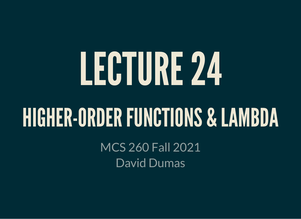# LECTURE24

#### HIGHER-ORDERFUNCTIONS & LAMBDA

MCS 260 Fall 2021 David Dumas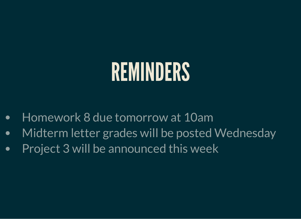#### REMINDERS

- Homework 8 due tomorrow at 10am  $\bullet$
- Midterm letter grades will be posted Wednesday  $\bullet$
- Project 3 will be announced this week $\bullet$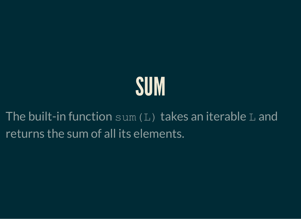### SUM

The built-in function  $sum(L)$  takes an iterable L and returns the sum of all its elements.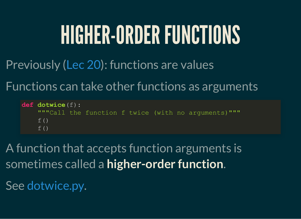## HIGHER-ORDER FUNCTIONS

Previously ([Lec](https://www.dumas.io/teaching/2021/fall/mcs260/slides/lecture20.html) 20): functions are values

Functions can take other functions as arguments

**def dotwice**(f): """Call the function f twice (with no arguments)"""  $f()$  $f()$ 

A function that accepts function arguments is sometimes called a **higher-order function**.

See [dotwice.py](https://github.com/daviddumas/mcs260fall2021/blob/main/samplecode/higher/dotwice.py).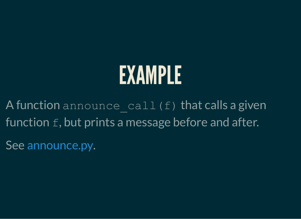A function announce call (f) that calls a given function  $f$ , but prints a message before and after.

See [announce.py.](https://github.com/daviddumas/mcs260fall2021/blob/main/samplecode/higher/announce.py)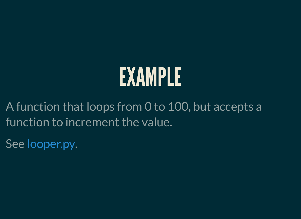A function that loops from 0 to 100, but accepts a function to increment the value.

See [looper.py.](https://github.com/daviddumas/mcs260fall2021/blob/main/samplecode/higher/looper.py)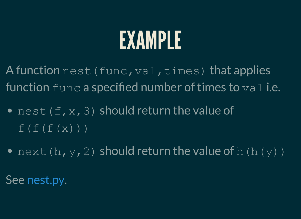A function nest (func, val, times) that applies function  $func$  a specified number of times to  $val$  i.e.

- nest  $(f, x, 3)$  should return the value of  $f(f(f(x)))$
- next(h, y, 2) should return the value of h(h(y))

See [nest.py.](https://github.com/daviddumas/mcs260fall2021/blob/main/samplecode/higher/nest.py)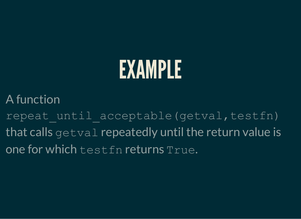A function

repeat until acceptable(getval,testfn) that calls getval repeatedly until the return value is one for which testfn returns True.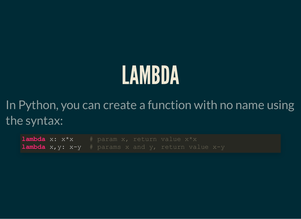### LAMBDA

In Python, you can create a function with no name using the syntax:

**lambda** x:  $x*x$  # param x, return value  $x*x$ **lambda** x,y: x-y # params x and y, return value x-y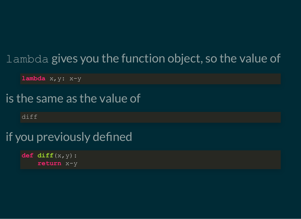#### lambda gives you the function object, so the value of

**lambda** x,y: x-y

#### is the same as the value of

diff

#### if you previously defined

 $def diff(x,y):$ **return** x-y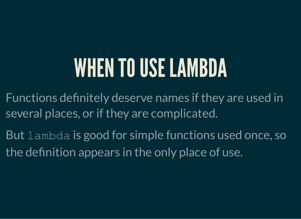### WHEN TO USE LAMBDA

- Functions definitely deserve names if they are used in several places, or if they are complicated.
- But lambda is good for simple functions used once, so the definition appears in the only place of use.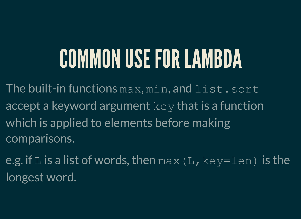# COMMON USE FOR LAMBDA

The built-in functions max, min, and list.sort accept a keyword argument  $\text{key}$  that is a function which is applied to elements before making comparisons.

e.g. if  $L$  is a list of words, then  $max(L, key=len)$  is the longest word.